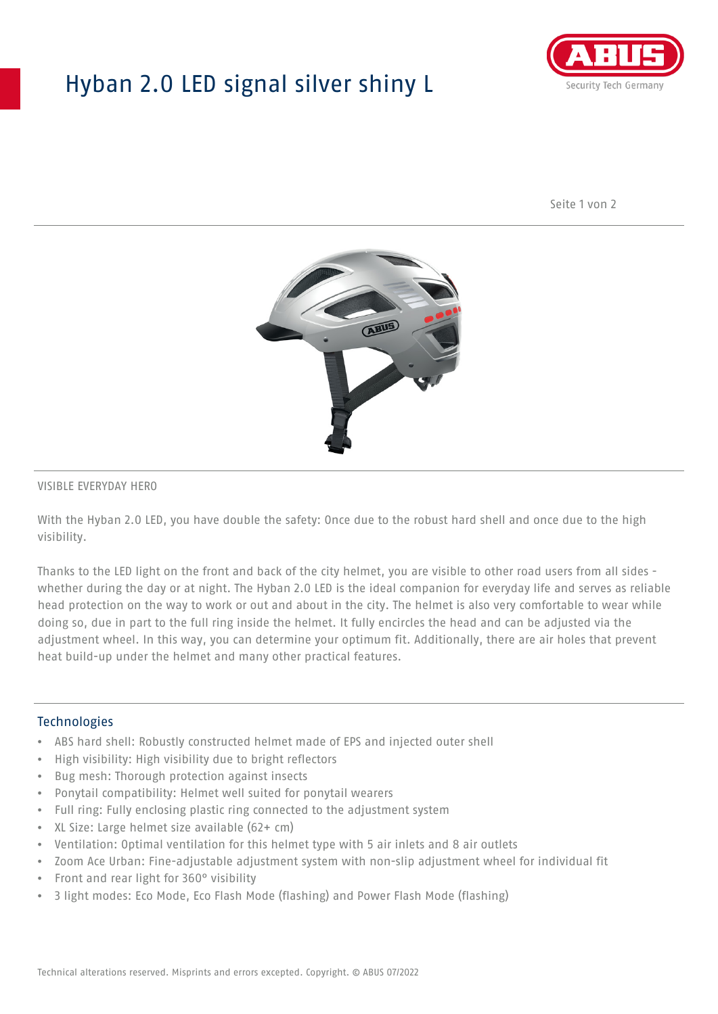## Hyban 2.0 LED signal silver shiny L



Seite 1 von 2



#### VISIBLE EVERYDAY HERO

With the Hyban 2.0 LED, you have double the safety: Once due to the robust hard shell and once due to the high visibility.

Thanks to the LED light on the front and back of the city helmet, you are visible to other road users from all sides whether during the day or at night. The Hyban 2.0 LED is the ideal companion for everyday life and serves as reliable head protection on the way to work or out and about in the city. The helmet is also very comfortable to wear while doing so, due in part to the full ring inside the helmet. It fully encircles the head and can be adjusted via the adjustment wheel. In this way, you can determine your optimum fit. Additionally, there are air holes that prevent heat build-up under the helmet and many other practical features.

#### Technologies

- ABS hard shell: Robustly constructed helmet made of EPS and injected outer shell
- High visibility: High visibility due to bright reflectors
- Bug mesh: Thorough protection against insects
- Ponytail compatibility: Helmet well suited for ponytail wearers
- Full ring: Fully enclosing plastic ring connected to the adjustment system
- XL Size: Large helmet size available (62+ cm)
- Ventilation: Optimal ventilation for this helmet type with 5 air inlets and 8 air outlets
- Zoom Ace Urban: Fine-adjustable adjustment system with non-slip adjustment wheel for individual fit
- Front and rear light for 360° visibility
- 3 light modes: Eco Mode, Eco Flash Mode (flashing) and Power Flash Mode (flashing)